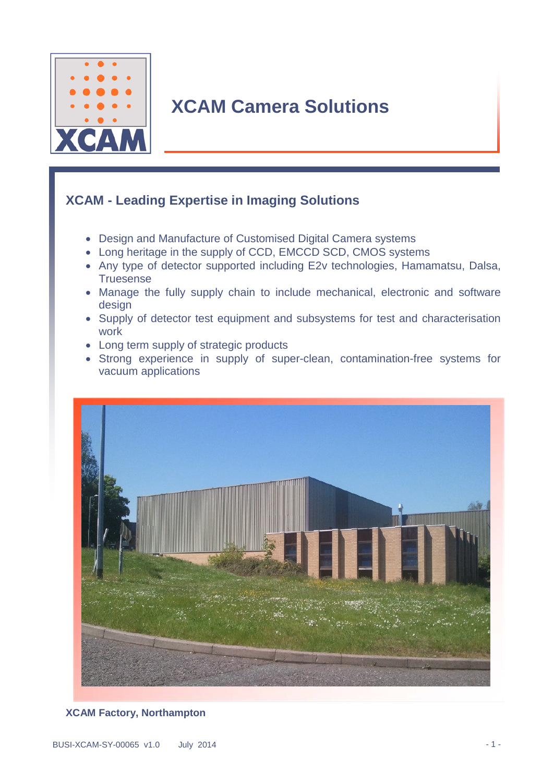

# **XCAM Camera Solutions**

### **XCAM - Leading Expertise in Imaging Solutions**

- Design and Manufacture of Customised Digital Camera systems
- Long heritage in the supply of CCD, EMCCD SCD, CMOS systems
- Any type of detector supported including E2v technologies, Hamamatsu, Dalsa, **Truesense**
- Manage the fully supply chain to include mechanical, electronic and software design
- Supply of detector test equipment and subsystems for test and characterisation work
- Long term supply of strategic products
- Strong experience in supply of super-clean, contamination-free systems for vacuum applications



#### **XCAM Factory, Northampton**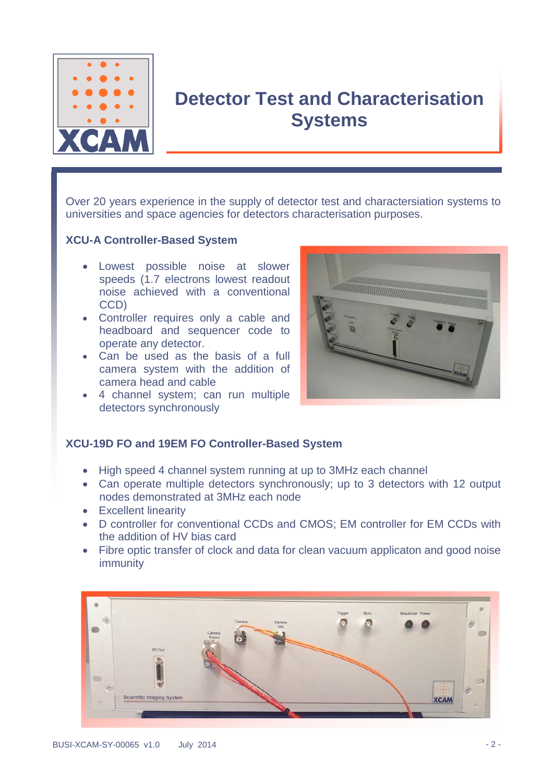

## **Detector Test and Characterisation Systems**

Over 20 years experience in the supply of detector test and charactersiation systems to universities and space agencies for detectors characterisation purposes.

#### **XCU-A Controller-Based System**

- Lowest possible noise at slower speeds (1.7 electrons lowest readout noise achieved with a conventional CCD)
- Controller requires only a cable and headboard and sequencer code to operate any detector.
- Can be used as the basis of a full camera system with the addition of camera head and cable
- 4 channel system; can run multiple detectors synchronously



#### **XCU-19D FO and 19EM FO Controller-Based System**

- High speed 4 channel system running at up to 3MHz each channel
- Can operate multiple detectors synchronously; up to 3 detectors with 12 output nodes demonstrated at 3MHz each node
- Excellent linearity
- D controller for conventional CCDs and CMOS; EM controller for EM CCDs with the addition of HV bias card
- Fibre optic transfer of clock and data for clean vacuum applicaton and good noise immunity

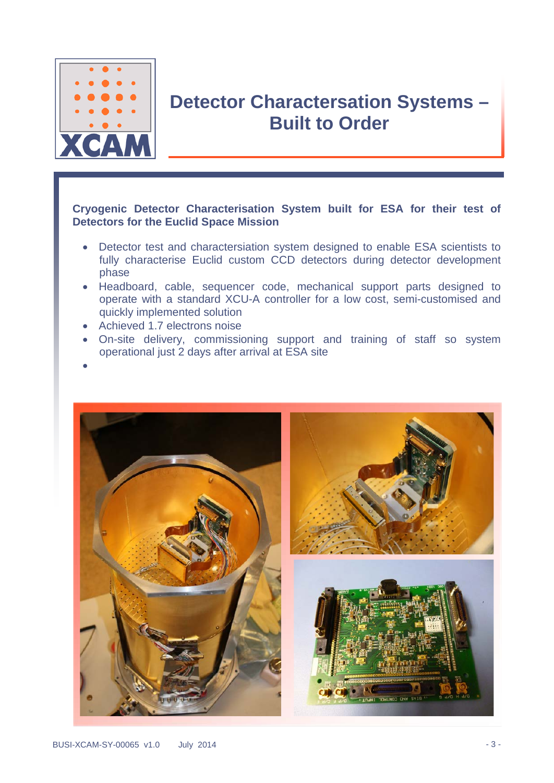

### **Detector Charactersation Systems – Built to Order**

#### **Cryogenic Detector Characterisation System built for ESA for their test of Detectors for the Euclid Space Mission**

- Detector test and charactersiation system designed to enable ESA scientists to fully characterise Euclid custom CCD detectors during detector development phase
- Headboard, cable, sequencer code, mechanical support parts designed to operate with a standard XCU-A controller for a low cost, semi-customised and quickly implemented solution
- Achieved 1.7 electrons noise
- On-site delivery, commissioning support and training of staff so system operational just 2 days after arrival at ESA site
- •

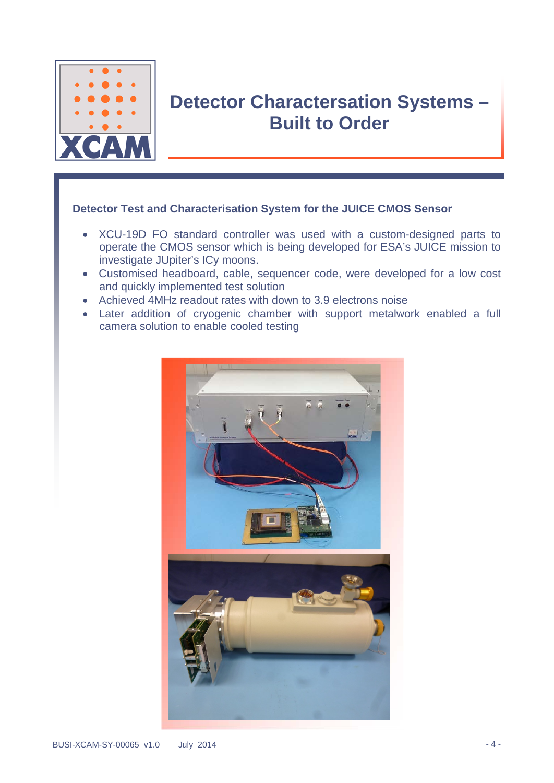

### **Detector Charactersation Systems – Built to Order**

#### **Detector Test and Characterisation System for the JUICE CMOS Sensor**

- XCU-19D FO standard controller was used with a custom-designed parts to operate the CMOS sensor which is being developed for ESA's JUICE mission to investigate JUpiter's ICy moons.
- Customised headboard, cable, sequencer code, were developed for a low cost and quickly implemented test solution
- Achieved 4MHz readout rates with down to 3.9 electrons noise
- Later addition of cryogenic chamber with support metalwork enabled a full camera solution to enable cooled testing

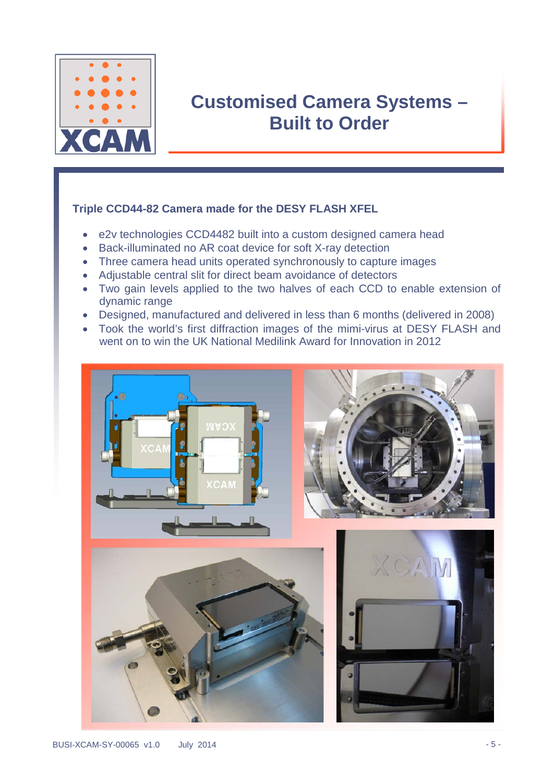

### **Customised Camera Systems – Built to Order**

#### **Triple CCD44-82 Camera made for the DESY FLASH XFEL**

- e2v technologies CCD4482 built into a custom designed camera head
- Back-illuminated no AR coat device for soft X-ray detection
- Three camera head units operated synchronously to capture images
- Adjustable central slit for direct beam avoidance of detectors
- Two gain levels applied to the two halves of each CCD to enable extension of dynamic range
- Designed, manufactured and delivered in less than 6 months (delivered in 2008)
- Took the world's first diffraction images of the mimi-virus at DESY FLASH and went on to win the UK National Medilink Award for Innovation in 2012







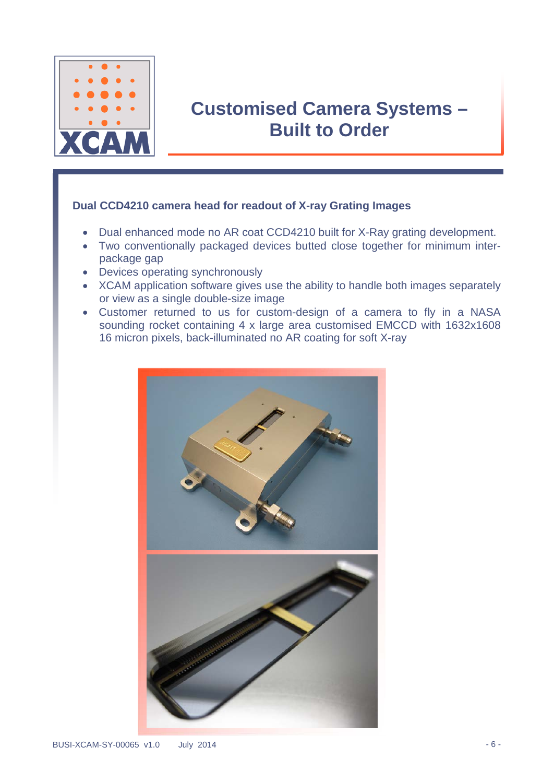

## **Customised Camera Systems – Built to Order**

#### **Dual CCD4210 camera head for readout of X-ray Grating Images**

- Dual enhanced mode no AR coat CCD4210 built for X-Ray grating development.
- Two conventionally packaged devices butted close together for minimum interpackage gap
- Devices operating synchronously
- XCAM application software gives use the ability to handle both images separately or view as a single double-size image
- Customer returned to us for custom-design of a camera to fly in a NASA sounding rocket containing 4 x large area customised EMCCD with 1632x1608 16 micron pixels, back-illuminated no AR coating for soft X-ray

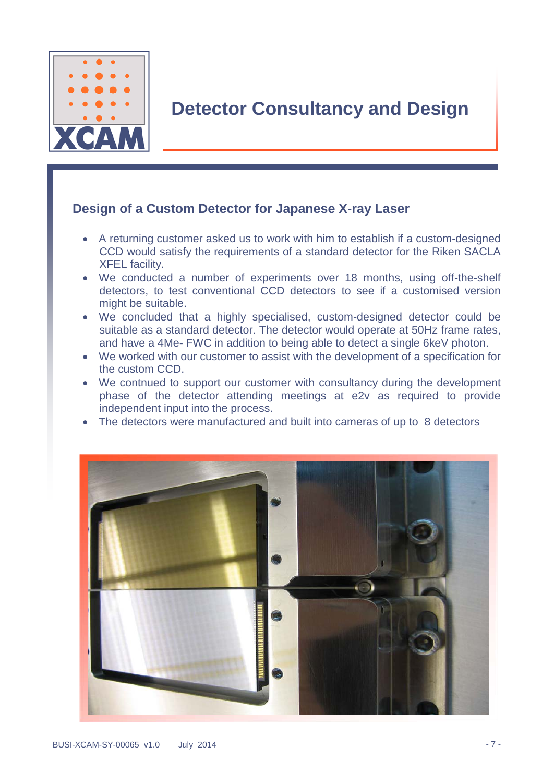

### **Detector Consultancy and Design**

### **Design of a Custom Detector for Japanese X-ray Laser**

- A returning customer asked us to work with him to establish if a custom-designed CCD would satisfy the requirements of a standard detector for the Riken SACLA XFEL facility.
- We conducted a number of experiments over 18 months, using off-the-shelf detectors, to test conventional CCD detectors to see if a customised version might be suitable.
- We concluded that a highly specialised, custom-designed detector could be suitable as a standard detector. The detector would operate at 50Hz frame rates, and have a 4Me- FWC in addition to being able to detect a single 6keV photon.
- We worked with our customer to assist with the development of a specification for the custom CCD.
- We contnued to support our customer with consultancy during the development phase of the detector attending meetings at e2v as required to provide independent input into the process.
- The detectors were manufactured and built into cameras of up to 8 detectors

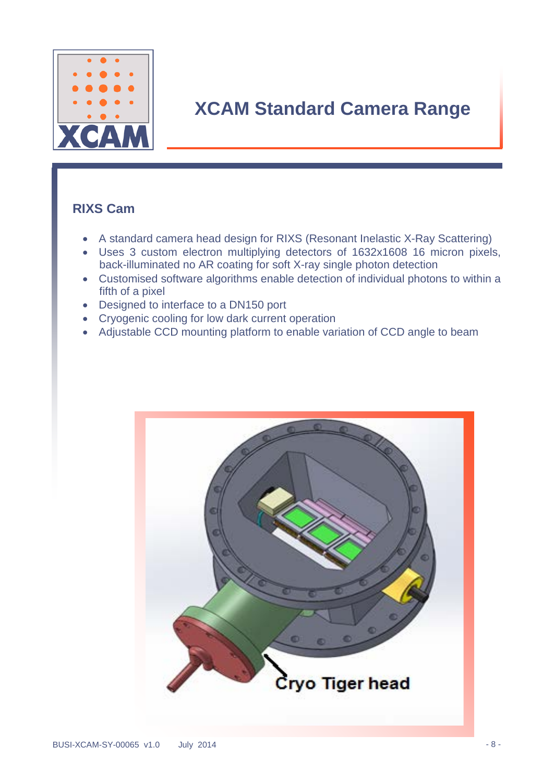

# **XCAM Standard Camera Range**

### **RIXS Cam**

- A standard camera head design for RIXS (Resonant Inelastic X-Ray Scattering)
- Uses 3 custom electron multiplying detectors of 1632x1608 16 micron pixels, back-illuminated no AR coating for soft X-ray single photon detection
- Customised software algorithms enable detection of individual photons to within a fifth of a pixel
- Designed to interface to a DN150 port
- Cryogenic cooling for low dark current operation
- Adjustable CCD mounting platform to enable variation of CCD angle to beam

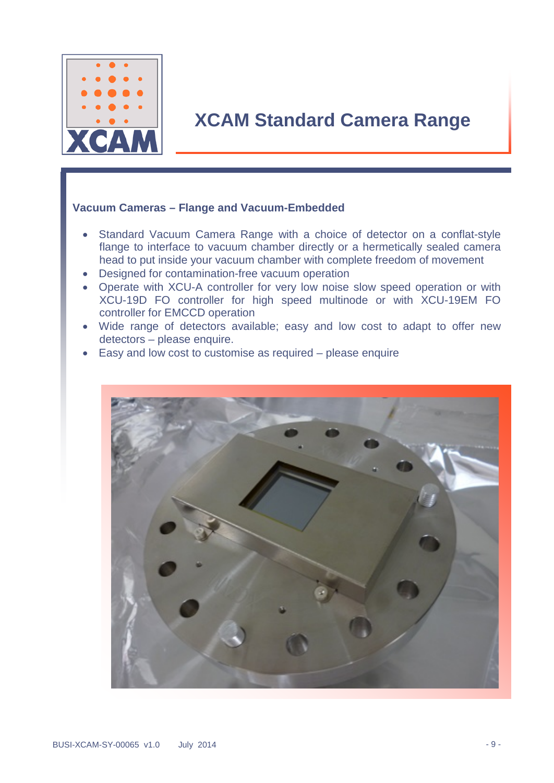

### **XCAM Standard Camera Range**

#### **Vacuum Cameras – Flange and Vacuum-Embedded**

- Standard Vacuum Camera Range with a choice of detector on a conflat-style flange to interface to vacuum chamber directly or a hermetically sealed camera head to put inside your vacuum chamber with complete freedom of movement
- Designed for contamination-free vacuum operation
- Operate with XCU-A controller for very low noise slow speed operation or with XCU-19D FO controller for high speed multinode or with XCU-19EM FO controller for EMCCD operation
- Wide range of detectors available; easy and low cost to adapt to offer new detectors – please enquire.
- Easy and low cost to customise as required please enquire

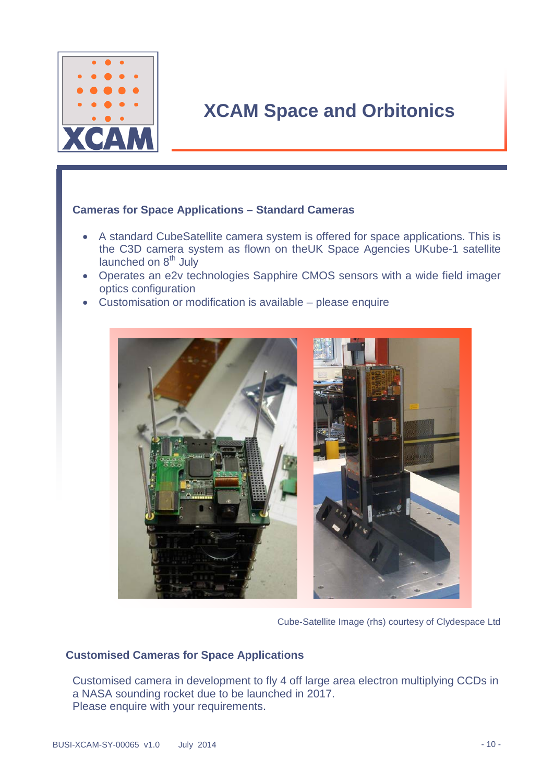

## **XCAM Space and Orbitonics**

#### **Cameras for Space Applications – Standard Cameras**

- A standard CubeSatellite camera system is offered for space applications. This is the C3D camera system as flown on theUK Space Agencies UKube-1 satellite launched on 8<sup>th</sup> July
- Operates an e2v technologies Sapphire CMOS sensors with a wide field imager optics configuration
- Customisation or modification is available please enquire



Cube-Satellite Image (rhs) courtesy of Clydespace Ltd

#### **Customised Cameras for Space Applications**

Customised camera in development to fly 4 off large area electron multiplying CCDs in a NASA sounding rocket due to be launched in 2017. Please enquire with your requirements.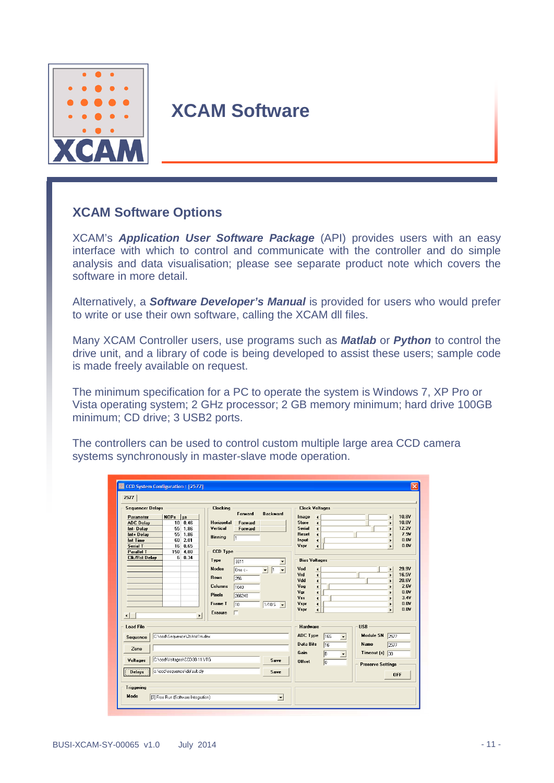

### **XCAM Software**

### **XCAM Software Options**

XCAM's *Application User Software Package* (API) provides users with an easy interface with which to control and communicate with the controller and do simple analysis and data visualisation; please see separate product note which covers the software in more detail.

Alternatively, a *Software Developer's Manual* is provided for users who would prefer to write or use their own software, calling the XCAM dll files.

Many XCAM Controller users, use programs such as *Matlab* or *Python* to control the drive unit, and a library of code is being developed to assist these users; sample code is made freely available on request.

The minimum specification for a PC to operate the system is Windows 7, XP Pro or Vista operating system; 2 GHz processor; 2 GB memory minimum; hard drive 100GB minimum; CD drive; 3 USB2 ports.

The controllers can be used to control custom multiple large area CCD camera systems synchronously in master-slave mode operation.

| <b>Sequencer Delays</b><br>Parameter<br><b>ADC Delay</b><br>Int-Delay<br>Int+ Delay<br><b>Int Time</b><br><b>Serial T</b><br><b>Parallel T</b> | <b>NOPs</b><br>  µs<br>0.46<br>10 <sup>1</sup><br>55<br>1.86<br>55<br>1.86<br>$60$ 2.01<br>16<br>0.65<br>4.80<br>150 | <b>Clocking</b><br>Horizontal<br>Vertical<br><b>Binning</b><br><b>CCD Type</b>                      | Forward<br>Forward<br>Forward<br>T <sub>1</sub>                        | <b>Backward</b>                                                       | Image<br><b>Store</b><br>Serial<br>Reset<br>Input<br>Vspr                | <b>Clock Voltages</b><br>$\blacktriangleleft$<br>$\overline{\bullet}$<br>$\overline{4}$<br>$\overline{\phantom{a}}$<br>$\blacktriangleleft$<br>$\overline{4}$                               | $\blacktriangleright$<br>$\mathbf{r}$<br>$\mathbf{r}$<br>$\mathbf{r}$<br>$\blacktriangleright$<br>$\blacktriangleright$                 | 10.8V<br>10.8V<br>12.2V<br>7.9V<br>0.01<br>0.0V                 |
|------------------------------------------------------------------------------------------------------------------------------------------------|----------------------------------------------------------------------------------------------------------------------|-----------------------------------------------------------------------------------------------------|------------------------------------------------------------------------|-----------------------------------------------------------------------|--------------------------------------------------------------------------|---------------------------------------------------------------------------------------------------------------------------------------------------------------------------------------------|-----------------------------------------------------------------------------------------------------------------------------------------|-----------------------------------------------------------------|
| <b>Clk/Rst Delay</b><br>$\left  \cdot \right $                                                                                                 | 6<br>0.34<br>$\mathbf{E}$                                                                                            | Type<br><b>Nodes</b><br><b>Rows</b><br><b>Columns</b><br><b>Pixels</b><br><b>Frame T</b><br>Erasure | 3011<br>$n_{\text{ne}} \leftarrow$<br>256<br>1040<br>266240<br>10<br>г | $\overline{\phantom{a}}$<br>$\sqrt{1}$<br>$\blacksquare$<br>$1/10S -$ | Vod<br>Vrd<br>Vdd<br>Vog<br>Vgr<br>Vss <sup>1</sup><br>Vspr<br>Vspr      | <b>Bias Voltages</b><br>$\blacktriangleleft$<br>$\overline{\phantom{a}}$<br>$\overline{\bullet}$<br>$\frac{4}{4}$<br>$\overline{\bullet}$<br>$\blacktriangleleft$<br>$\left  \cdot \right $ | $\blacktriangleright$<br>$\mathbf{r}$<br>$\mathbf{r}$<br>$\mathbf{r}$<br>$\mathbf{r}$<br>$\blacktriangleright$<br>$\blacktriangleright$ | 29.9V<br>16.5V<br>20.6V<br>2.6V<br>0.0V<br>3.4V<br>0.0V<br>0.01 |
| <b>Load File</b><br>Sequence<br>Zone<br>Voltages<br><b>Delays</b>                                                                              | C:\ccd\Sequence\2chtst1m.dex<br>C:\ccd\Voltages\CCD30-11.VTG<br>c:\ccd\sequence\default.dlv                          |                                                                                                     |                                                                        | Save<br>Save                                                          | Hardware<br><b>ADC Type</b><br><b>Data Bits</b><br>Gain<br><b>Offset</b> | <b>16S</b><br>$\overline{\phantom{a}}$<br>16<br>B<br>$\blacktriangledown$<br>o                                                                                                              | <b>USB</b><br><b>Module SN</b><br>2577<br>Name<br>2577<br>Timeout $[s]$ 30<br><b>Preserve Settings</b><br><b>OFF</b>                    |                                                                 |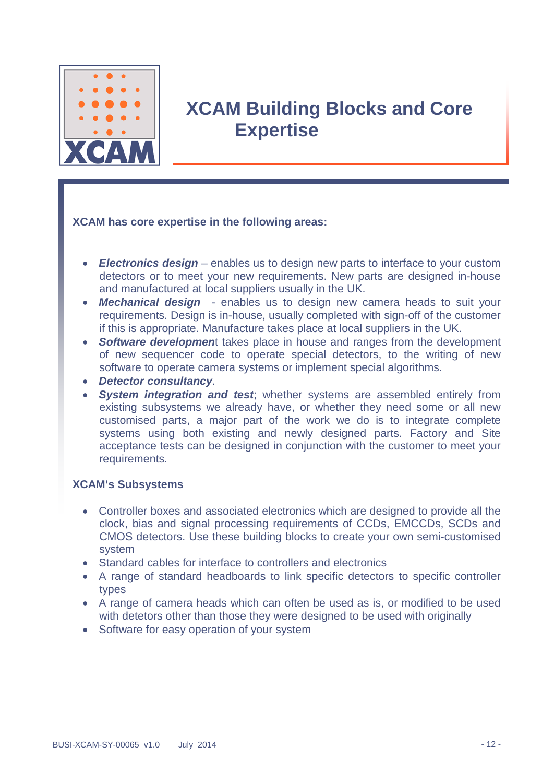

## **XCAM Building Blocks and Core Expertise**

#### **XCAM has core expertise in the following areas:**

- *Electronics design* enables us to design new parts to interface to your custom detectors or to meet your new requirements. New parts are designed in-house and manufactured at local suppliers usually in the UK.
- *Mechanical design* enables us to design new camera heads to suit your requirements. Design is in-house, usually completed with sign-off of the customer if this is appropriate. Manufacture takes place at local suppliers in the UK.
- *Software developmen*t takes place in house and ranges from the development of new sequencer code to operate special detectors, to the writing of new software to operate camera systems or implement special algorithms.
- *Detector consultancy*.
- *System integration and test*; whether systems are assembled entirely from existing subsystems we already have, or whether they need some or all new customised parts, a major part of the work we do is to integrate complete systems using both existing and newly designed parts. Factory and Site acceptance tests can be designed in conjunction with the customer to meet your requirements.

#### **XCAM's Subsystems**

- Controller boxes and associated electronics which are designed to provide all the clock, bias and signal processing requirements of CCDs, EMCCDs, SCDs and CMOS detectors. Use these building blocks to create your own semi-customised system
- Standard cables for interface to controllers and electronics
- A range of standard headboards to link specific detectors to specific controller types
- A range of camera heads which can often be used as is, or modified to be used with detetors other than those they were designed to be used with originally
- Software for easy operation of your system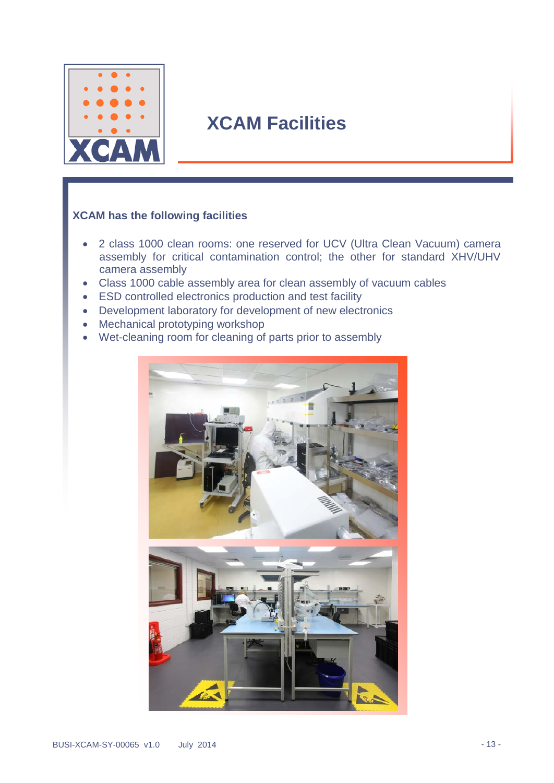

## **XCAM Facilities**

#### **XCAM has the following facilities**

- 2 class 1000 clean rooms: one reserved for UCV (Ultra Clean Vacuum) camera assembly for critical contamination control; the other for standard XHV/UHV camera assembly
- Class 1000 cable assembly area for clean assembly of vacuum cables
- ESD controlled electronics production and test facility
- Development laboratory for development of new electronics
- Mechanical prototyping workshop
- Wet-cleaning room for cleaning of parts prior to assembly

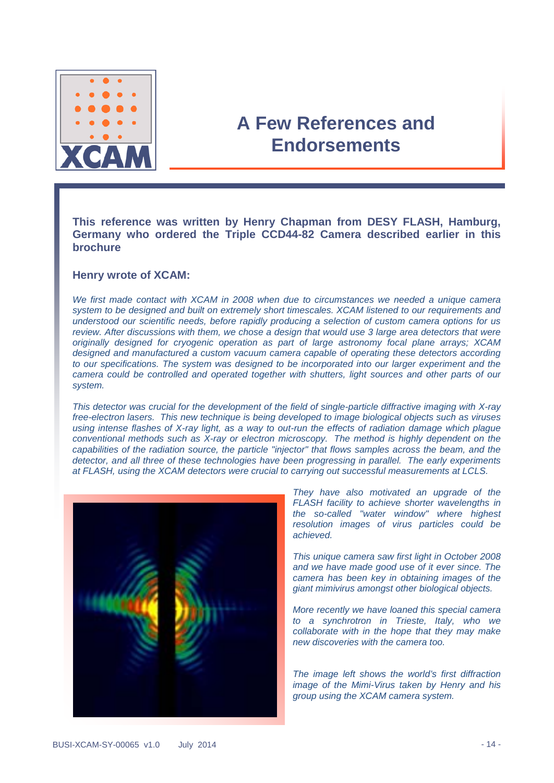

### **A Few References and Endorsements**

**This reference was written by Henry Chapman from DESY FLASH, Hamburg, Germany who ordered the Triple CCD44-82 Camera described earlier in this brochure**

#### **Henry wrote of XCAM:**

*We first made contact with XCAM in 2008 when due to circumstances we needed a unique camera system to be designed and built on extremely short timescales. XCAM listened to our requirements and understood our scientific needs, before rapidly producing a selection of custom camera options for us review. After discussions with them, we chose a design that would use 3 large area detectors that were originally designed for cryogenic operation as part of large astronomy focal plane arrays; XCAM designed and manufactured a custom vacuum camera capable of operating these detectors according to our specifications. The system was designed to be incorporated into our larger experiment and the camera could be controlled and operated together with shutters, light sources and other parts of our system.* 

*This detector was crucial for the development of the field of single-particle diffractive imaging with X-ray free-electron lasers. This new technique is being developed to image biological objects such as viruses using intense flashes of X-ray light, as a way to out-run the effects of radiation damage which plague conventional methods such as X-ray or electron microscopy. The method is highly dependent on the capabilities of the radiation source, the particle "injector" that flows samples across the beam, and the detector, and all three of these technologies have been progressing in parallel. The early experiments at FLASH, using the XCAM detectors were crucial to carrying out successful measurements at LCLS.*



*They have also motivated an upgrade of the FLASH facility to achieve shorter wavelengths in the so-called "water window" where highest resolution images of virus particles could be achieved.*

*This unique camera saw first light in October 2008 and we have made good use of it ever since. The camera has been key in obtaining images of the giant mimivirus amongst other biological objects.*

*More recently we have loaned this special camera to a synchrotron in Trieste, Italy, who we collaborate with in the hope that they may make new discoveries with the camera too.*

*The image left shows the world's first diffraction image of the Mimi-Virus taken by Henry and his group using the XCAM camera system.*